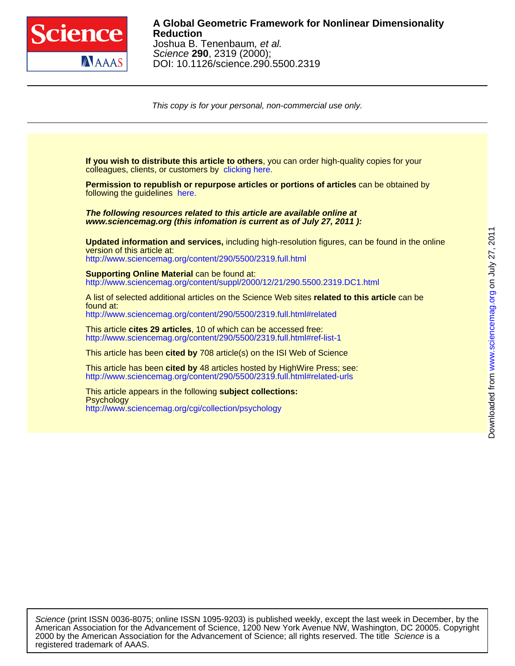

## DOI: 10.1126/science.290.5500.2319 Science **290**, 2319 (2000); Joshua B. Tenenbaum, et al. **Reduction A Global Geometric Framework for Nonlinear Dimensionality**

This copy is for your personal, non-commercial use only.

colleagues, clients, or customers by [clicking here.](http://www.sciencemag.org/about/permissions.dtl) **If you wish to distribute this article to others**, you can order high-quality copies for your following the guidelines [here.](http://www.sciencemag.org/about/permissions.dtl) **Permission to republish or repurpose articles or portions of articles** can be obtained by **www.sciencemag.org (this infomation is current as of July 27, 2011 ): The following resources related to this article are available online at** <http://www.sciencemag.org/content/290/5500/2319.full.html> version of this article at: **Updated information and services,** including high-resolution figures, can be found in the online http://www.sciencemag.org/content/suppl/2000/12/21/290.5500.2319.DC1.html **Supporting Online Material can be found at:** <http://www.sciencemag.org/content/290/5500/2319.full.html#related> found at: A list of selected additional articles on the Science Web sites **related to this article** can be <http://www.sciencemag.org/content/290/5500/2319.full.html#ref-list-1> This article **cites 29 articles**, 10 of which can be accessed free: This article has been **cited by** 708 article(s) on the ISI Web of Science <http://www.sciencemag.org/content/290/5500/2319.full.html#related-urls> This article has been **cited by** 48 articles hosted by HighWire Press; see: <http://www.sciencemag.org/cgi/collection/psychology> **Psychology** This article appears in the following **subject collections:**

Downloaded from www.sciencemag.org on July 27, 2011 [www.sciencemag.org](http://www.sciencemag.org/) Downloaded from

on July 27, 2011

registered trademark of AAAS. 2000 by the American Association for the Advancement of Science; all rights reserved. The title Science is a American Association for the Advancement of Science, 1200 New York Avenue NW, Washington, DC 20005. Copyright Science (print ISSN 0036-8075; online ISSN 1095-9203) is published weekly, except the last week in December, by the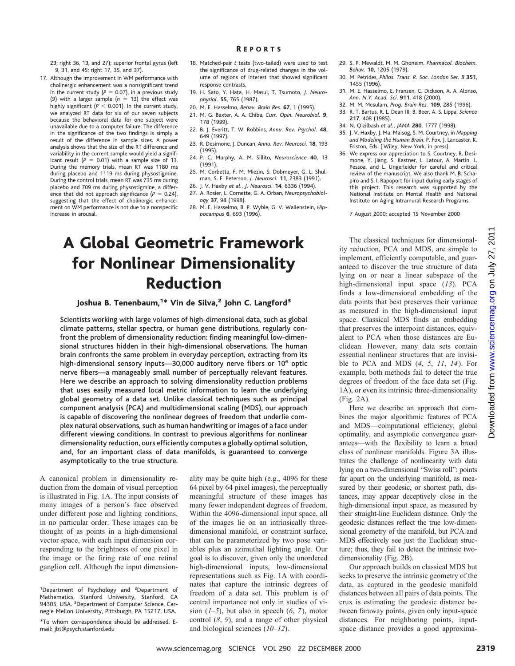23; right 36, 13, and 27); superior frontal gyrus (left 29, 31, and 45; right 17, 35, and 37).

- 17. Although the improvement in WM performance with cholinergic enhancement was a nonsignificant trend in the current study  $(P = 0.07)$ , in a previous study (9) with a larger sample  $(n = 13)$  the effect was highly significant ( $P < 0.001$ ). In the current study, we analyzed RT data for six of our seven subjects because the behavioral data for one subject were unavailable due to a computer failure. The difference in the significance of the two findings is simply a result of the difference in sample sizes. A power analysis shows that the size of the RT difference and variability in the current sample would yield a significant result  $(P = 0.01)$  with a sample size of 13. During the memory trials, mean RT was 1180 ms during placebo and 1119 ms during physostigmine. During the control trials, mean RT was 735 ms during placebo and 709 ms during physostigmine, a difference that did not approach significance  $(P = 0.24)$ , suggesting that the effect of cholinergic enhancement on WM performance is not due to a nonspecific increase in arousal.
- 18. Matched-pair *t* tests (two-tailed) were used to test the significance of drug-related changes in the volume of regions of interest that showed significant response contrasts.
- 19. H. Sato, Y. Hata, H. Masui, T. Tsumoto, *J. Neurophysiol.* **55**, 765 (1987).
- 20. M. E. Hasselmo, *Behav. Brain Res*. **67**, 1 (1995).
- 21. M. G. Baxter, A. A. Chiba, *Curr. Opin. Neurobiol.* **9**, 178 (1999).
- 22. B. J. Everitt, T. W. Robbins, *Annu. Rev. Psychol.* **48**, 649 (1997).
- 23. R. Desimone, J. Duncan, *Annu. Rev. Neurosci.* **18**, 193 (1995).
- 24. P. C. Murphy, A. M. Sillito, *Neuroscience* **40**, 13 (1991).
- 25. M. Corbetta, F. M. Miezin, S. Dobmeyer, G. L. Shulman, S. E. Peterson, *J. Neurosci.* **11**, 2383 (1991).
- 26. J. V. Haxby *et al.*, *J. Neurosci.* **14**, 6336 (1994).
- 27. A. Rosier, L. Cornette, G. A. Orban, *Neuropsychobiology* **37**, 98 (1998).
- 28. M. E. Hasselmo, B. P. Wyble, G. V. Wallenstein, *Hippocampus* **6**, 693 (1996).

# A Global Geometric Framework for Nonlinear Dimensionality Reduction

Joshua B. Tenenbaum,<sup>1\*</sup> Vin de Silva,<sup>2</sup> John C. Langford<sup>3</sup>

Scientists working with large volumes of high-dimensional data, such as global climate patterns, stellar spectra, or human gene distributions, regularly confront the problem of dimensionality reduction: finding meaningful low-dimensional structures hidden in their high-dimensional observations. The human brain confronts the same problem in everyday perception, extracting from its high-dimensional sensory inputs-30,000 auditory nerve fibers or 10<sup>6</sup> optic nerve fibers—a manageably small number of perceptually relevant features. Here we describe an approach to solving dimensionality reduction problems that uses easily measured local metric information to learn the underlying global geometry of a data set. Unlike classical techniques such as principal component analysis (PCA) and multidimensional scaling (MDS), our approach is capable of discovering the nonlinear degrees of freedom that underlie complex natural observations, such as human handwriting or images of a face under different viewing conditions. In contrast to previous algorithms for nonlinear dimensionality reduction, ours efficiently computes a globally optimal solution, and, for an important class of data manifolds, is guaranteed to converge asymptotically to the true structure.

A canonical problem in dimensionality reduction from the domain of visual perception is illustrated in Fig. 1A. The input consists of many images of a person's face observed under different pose and lighting conditions, in no particular order. These images can be thought of as points in a high-dimensional vector space, with each input dimension corresponding to the brightness of one pixel in the image or the firing rate of one retinal ganglion cell. Although the input dimension-

ality may be quite high (e.g., 4096 for these 64 pixel by 64 pixel images), the perceptually meaningful structure of these images has many fewer independent degrees of freedom. Within the 4096-dimensional input space, all of the images lie on an intrinsically threedimensional manifold, or constraint surface, that can be parameterized by two pose variables plus an azimuthal lighting angle. Our goal is to discover, given only the unordered high-dimensional inputs, low-dimensional representations such as Fig. 1A with coordinates that capture the intrinsic degrees of freedom of a data set. This problem is of central importance not only in studies of vision  $(1-5)$ , but also in speech  $(6, 7)$ , motor control (*8*, *9*), and a range of other physical and biological sciences (*10*–*12*).

- 29. S. P. Mewaldt, M. M. Ghoneim, *Pharmacol. Biochem. Behav.* **10**, 1205 (1979).
- 30. M. Petrides, *Philos. Trans. R. Soc. London Ser. B* **351**, 1455 (1996).
- 31. M. E. Hasselmo, E. Fransen, C. Dickson, A. A. Alonso, *Ann. N.Y. Acad. Sci*. **911**, 418 (2000).
- 32. M. M. Mesulam, *Prog. Brain Res.* **109**, 285 (1996).
- 33. R. T. Bartus, R. L. Dean III, B. Beer, A. S. Lippa, *Science* **217**, 408 (1985).
- 34. N. Qizilbash *et al.*, *JAMA* **280**, 1777 (1998).
- 35. J. V. Haxby, J. Ma. Maisog, S. M. Courtney, in *Mapping and Modeling the Human Brain*, P. Fox, J. Lancaster, K. Friston, Eds. ( Wiley, New York, in press).
- 36. We express our appreciation to S. Courtney, R. Desimone, Y. Jiang, S. Kastner, L. Latour, A. Martin, L. Pessoa, and L. Ungerleider for careful and critical review of the manuscript. We also thank M. B. Schapiro and S. I. Rapoport for input during early stages of this project. This research was supported by the National Institute on Mental Health and National Institute on Aging Intramural Research Programs.

7 August 2000; accepted 15 November 2000

The classical techniques for dimensionality reduction, PCA and MDS, are simple to implement, efficiently computable, and guaranteed to discover the true structure of data lying on or near a linear subspace of the high-dimensional input space (*13*). PCA finds a low-dimensional embedding of the data points that best preserves their variance as measured in the high-dimensional input space. Classical MDS finds an embedding that preserves the interpoint distances, equivalent to PCA when those distances are Euclidean. However, many data sets contain essential nonlinear structures that are invisible to PCA and MDS (*4*, *5*, *11*, *14*). For example, both methods fail to detect the true degrees of freedom of the face data set (Fig. 1A), or even its intrinsic three-dimensionality (Fig. 2A). **OTHERRATE STATES CONTRANEE CONTRANEE CONTRANEE CONTRANEE CONTRANEE CONTRANEE CONTRANEE CONTRANEE CONTRANEE CONTRANEE CONTRANEE CONTRANEE CONTRANEE CONTRANEE CONTRANEE CONTRANEE CONTRANEE CONTRANEE CONTRANEE CONTRANEE CON** 

Here we describe an approach that combines the major algorithmic features of PCA and MDS—computational efficiency, global optimality, and asymptotic convergence guarantees—with the flexibility to learn a broad class of nonlinear manifolds. Figure 3A illustrates the challenge of nonlinearity with data lying on a two-dimensional "Swiss roll": points far apart on the underlying manifold, as measured by their geodesic, or shortest path, distances, may appear deceptively close in the high-dimensional input space, as measured by their straight-line Euclidean distance. Only the geodesic distances reflect the true low-dimensional geometry of the manifold, but PCA and MDS effectively see just the Euclidean structure; thus, they fail to detect the intrinsic twodimensionality (Fig. 2B).

Our approach builds on classical MDS but seeks to preserve the intrinsic geometry of the data, as captured in the geodesic manifold distances between all pairs of data points. The crux is estimating the geodesic distance between faraway points, given only input-space distances. For neighboring points, inputspace distance provides a good approxima-

<sup>&</sup>lt;sup>1</sup>Department of Psychology and <sup>2</sup>Department of Mathematics, Stanford University, Stanford, CA 94305, USA. <sup>3</sup>Department of Computer Science, Carnegie Mellon University, Pittsburgh, PA 15217, USA.

<sup>\*</sup>To whom correspondence should be addressed. Email: jbt@psych.stanford.edu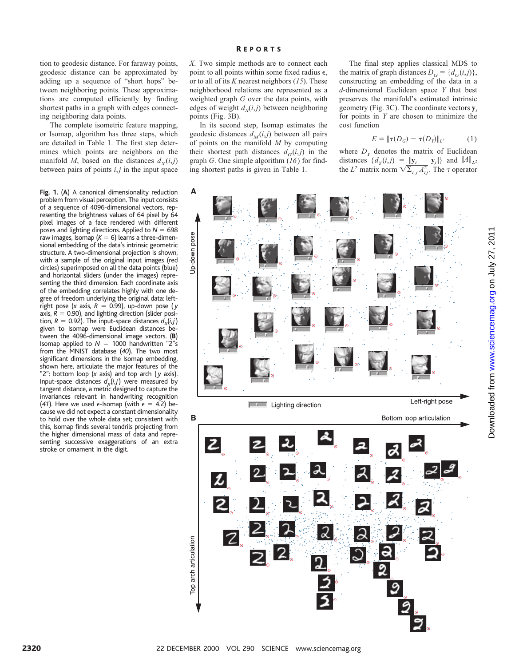tion to geodesic distance. For faraway points, geodesic distance can be approximated by adding up a sequence of "short hops" between neighboring points. These approximations are computed efficiently by finding shortest paths in a graph with edges connecting neighboring data points.

The complete isometric feature mapping, or Isomap, algorithm has three steps, which are detailed in Table 1. The first step determines which points are neighbors on the manifold *M*, based on the distances  $d<sub>X</sub>(i,j)$ between pairs of points *i*,*j* in the input space

**Fig. 1.** (**A**) A canonical dimensionality reduction problem from visual perception. The input consists of a sequence of 4096-dimensional vectors, representing the brightness values of 64 pixel by 64 pixel images of a face rendered with different poses and lighting directions. Applied to  $N = 698$ raw images, Isomap  $(K = 6)$  learns a three-dimensional embedding of the data's intrinsic geometric structure. A two-dimensional projection is shown, with a sample of the original input images (red circles) superimposed on all the data points (blue) and horizontal sliders (under the images) representing the third dimension. Each coordinate axis of the embedding correlates highly with one degree of freedom underlying the original data: leftright pose (*x* axis,  $R = 0.99$ ), up-down pose (*y* axis,  $R = 0.90$ ), and lighting direction (slider position,  $R = 0.92$ ). The input-space distances  $d_x(i,j)$ given to Isomap were Euclidean distances between the 4096-dimensional image vectors. (**B**) Isomap applied to  $N = 1000$  handwritten "2"s from the MNIST database (*40*). The two most significant dimensions in the Isomap embedding, shown here, articulate the major features of the "2": bottom loop (*x* axis) and top arch ( *y* axis). Input-space distances  $d_x(i,j)$  were measured by tangent distance, a metric designed to capture the invariances relevant in handwriting recognition (41). Here we used  $\epsilon$ -Isomap (with  $\epsilon = 4.2$ ) because we did not expect a constant dimensionality to hold over the whole data set; consistent with this, Isomap finds several tendrils projecting from the higher dimensional mass of data and representing successive exaggerations of an extra stroke or ornament in the digit.

*X*. Two simple methods are to connect each point to all points within some fixed radius  $\epsilon$ , or to all of its *K* nearest neighbors (*15*). These neighborhood relations are represented as a weighted graph *G* over the data points, with edges of weight  $d_x(i, j)$  between neighboring points (Fig. 3B).

In its second step, Isomap estimates the geodesic distances  $d_M(i,j)$  between all pairs of points on the manifold *M* by computing their shortest path distances  $d_G(i,j)$  in the graph *G*. One simple algorithm (*16*) for finding shortest paths is given in Table 1.

The final step applies classical MDS to the matrix of graph distances  $D_G = \{d_G(i,j)\},\$ constructing an embedding of the data in a *d*-dimensional Euclidean space *Y* that best preserves the manifold's estimated intrinsic geometry (Fig. 3C). The coordinate vectors **y***<sup>i</sup>* for points in *Y* are chosen to minimize the cost function

$$
E = ||\tau(D_G) - \tau(D_Y)||_{L^2}
$$
 (1)

where  $D<sub>y</sub>$  denotes the matrix of Euclidean distances  $\{d_y(i,j) = ||\mathbf{y}_i - \mathbf{y}_j||\}$  and  $\|A\|_{L^2}$ the *L*<sup>2</sup> matrix norm  $\sqrt{\sum_{i,j} A_{ij}^2}$ . The  $\tau$  operator

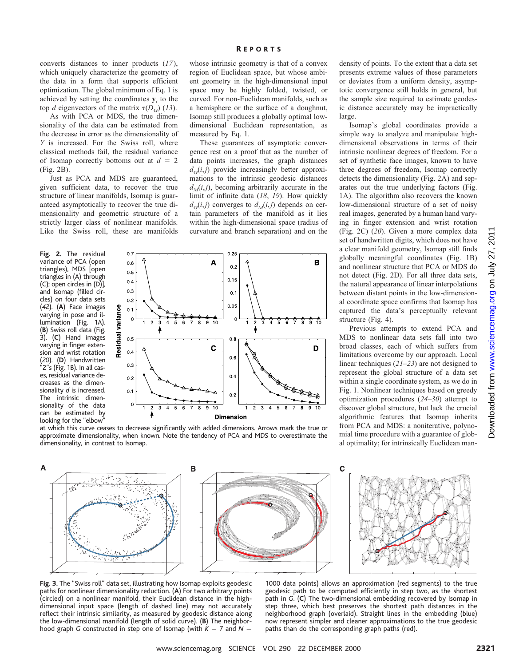converts distances to inner products (*17*), which uniquely characterize the geometry of the data in a form that supports efficient optimization. The global minimum of Eq. 1 is achieved by setting the coordinates  $y_i$  to the top *d* eigenvectors of the matrix  $\tau(D_G)$  (13).

As with PCA or MDS, the true dimensionality of the data can be estimated from the decrease in error as the dimensionality of *Y* is increased. For the Swiss roll, where classical methods fail, the residual variance of Isomap correctly bottoms out at  $d = 2$ (Fig. 2B).

Just as PCA and MDS are guaranteed, given sufficient data, to recover the true structure of linear manifolds, Isomap is guaranteed asymptotically to recover the true dimensionality and geometric structure of a strictly larger class of nonlinear manifolds. Like the Swiss roll, these are manifolds

**Fig. 2.** The residual variance of PCA (open triangles), MDS [open triangles in (A) through (C); open circles in (D)], and Isomap (filled circles) on four data sets (*42*). (**A**) Face images varying in pose and illumination (Fig. 1A). (**B**) Swiss roll data (Fig. 3). (**C**) Hand images varying in finger extension and wrist rotation (*20*). (**D**) Handwritten "2"s (Fig. 1B). In all cases, residual variance decreases as the dimensionality *d* is increased. The intrinsic dimensionality of the data can be estimated by looking for the "elbow"



whose intrinsic geometry is that of a convex region of Euclidean space, but whose ambient geometry in the high-dimensional input space may be highly folded, twisted, or curved. For non-Euclidean manifolds, such as a hemisphere or the surface of a doughnut, Isomap still produces a globally optimal lowdimensional Euclidean representation, as measured by Eq. 1.

These guarantees of asymptotic convergence rest on a proof that as the number of data points increases, the graph distances  $d_G(i,j)$  provide increasingly better approximations to the intrinsic geodesic distances  $d<sub>M</sub>(i,j)$ , becoming arbitrarily accurate in the limit of infinite data (*18*, *19*). How quickly  $d_G(i,j)$  converges to  $d_M(i,j)$  depends on certain parameters of the manifold as it lies within the high-dimensional space (radius of curvature and branch separation) and on the



at which this curve ceases to decrease significantly with added dimensions. Arrows mark the true or approximate dimensionality, when known. Note the tendency of PCA and MDS to overestimate the dimensionality, in contrast to Isomap.

density of points. To the extent that a data set presents extreme values of these parameters or deviates from a uniform density, asymptotic convergence still holds in general, but the sample size required to estimate geodesic distance accurately may be impractically large.

Isomap's global coordinates provide a simple way to analyze and manipulate highdimensional observations in terms of their intrinsic nonlinear degrees of freedom. For a set of synthetic face images, known to have three degrees of freedom, Isomap correctly detects the dimensionality (Fig. 2A) and separates out the true underlying factors (Fig. 1A). The algorithm also recovers the known low-dimensional structure of a set of noisy real images, generated by a human hand varying in finger extension and wrist rotation (Fig. 2C) (*20*). Given a more complex data set of handwritten digits, which does not have a clear manifold geometry, Isomap still finds globally meaningful coordinates (Fig. 1B) and nonlinear structure that PCA or MDS do not detect (Fig. 2D). For all three data sets, the natural appearance of linear interpolations between distant points in the low-dimensional coordinate space confirms that Isomap has captured the data's perceptually relevant structure (Fig. 4).

Previous attempts to extend PCA and MDS to nonlinear data sets fall into two broad classes, each of which suffers from limitations overcome by our approach. Local linear techniques (*21*–*23*) are not designed to represent the global structure of a data set within a single coordinate system, as we do in Fig. 1. Nonlinear techniques based on greedy optimization procedures (*24*–*30*) attempt to discover global structure, but lack the crucial algorithmic features that Isomap inherits from PCA and MDS: a noniterative, polynomial time procedure with a guarantee of global optimality; for intrinsically Euclidean man-



**Fig. 3.** The "Swiss roll" data set, illustrating how Isomap exploits geodesic paths for nonlinear dimensionality reduction. (**A**) For two arbitrary points (circled) on a nonlinear manifold, their Euclidean distance in the highdimensional input space (length of dashed line) may not accurately reflect their intrinsic similarity, as measured by geodesic distance along the low-dimensional manifold (length of solid curve). (**B**) The neighborhood graph *G* constructed in step one of Isomap (with  $K = 7$  and  $N = 1$ 

1000 data points) allows an approximation (red segments) to the true geodesic path to be computed efficiently in step two, as the shortest path in *G*. (**C**) The two-dimensional embedding recovered by Isomap in step three, which best preserves the shortest path distances in the neighborhood graph (overlaid). Straight lines in the embedding (blue) now represent simpler and cleaner approximations to the true geodesic paths than do the corresponding graph paths (red).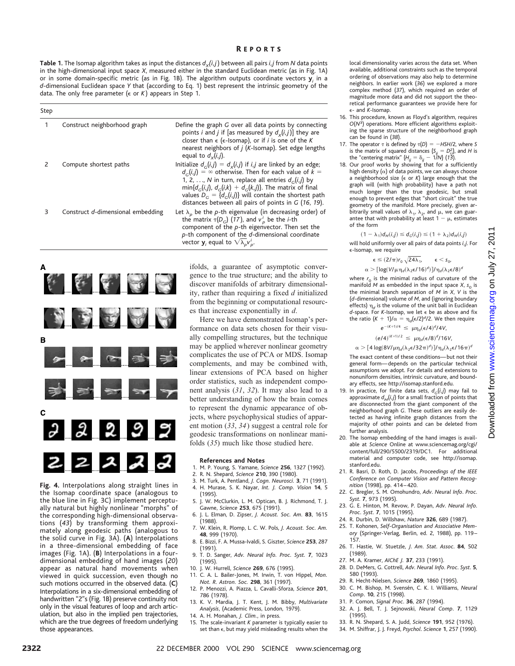**Table 1.** The Isomap algorithm takes as input the distances  $d_x(i,j)$  between all pairs *i*, *j* from *N* data points in the high-dimensional input space *X*, measured either in the standard Euclidean metric (as in Fig. 1A) or in some domain-specific metric (as in Fig. 1B). The algorithm outputs coordinate vectors **y***<sup>i</sup>* in a *d*-dimensional Euclidean space *Y* that (according to Eq. 1) best represent the intrinsic geometry of the data. The only free parameter (e or *K* ) appears in Step 1.

| Step |                                   |                                                                                                                                                                                                                                                                                                                                                                                 |
|------|-----------------------------------|---------------------------------------------------------------------------------------------------------------------------------------------------------------------------------------------------------------------------------------------------------------------------------------------------------------------------------------------------------------------------------|
| 1    | Construct neighborhood graph      | Define the graph G over all data points by connecting<br>points <i>i</i> and <i>j</i> if [as measured by $d_v(i, j)$ ] they are<br>closer than $\epsilon$ ( $\epsilon$ -Isomap), or if <i>i</i> is one of the K<br>nearest neighbors of <i>j</i> ( <i>K</i> -Isomap). Set edge lengths<br>equal to $d_v(i,j)$ .                                                                 |
| 2    | Compute shortest paths            | Initialize $d_c(i,j) = d_x(i,j)$ if i,j are linked by an edge;<br>$d_c(i, i) = \infty$ otherwise. Then for each value of $k =$<br>1, 2, , N in turn, replace all entries $d_c(i,j)$ by<br>$min{d_c(i, i), d_c(i,k) + d_c(k, i)}$ . The matrix of final<br>values $D_c = \{d_c(i,j)\}\$ will contain the shortest path<br>distances between all pairs of points in $G$ (16, 19). |
| 3    | Construct d-dimensional embedding | Let $\lambda_{p}$ be the p-th eigenvalue (in decreasing order) of<br>the matrix $\tau(D_G)$ (17), and $v_p^i$ be the <i>i</i> -th<br>component of the $p$ -th eigenvector. Then set the<br>$p$ -th component of the $d$ -dimensional coordinate<br>vector $\mathbf{y}_i$ equal to $\sqrt{\lambda_p}v_p^i$ .                                                                     |



the Isomap coordinate space (analogous to the blue line in Fig. 3C) implement perceptually natural but highly nonlinear "morphs" of the corresponding high-dimensional observations (*43*) by transforming them approximately along geodesic paths (analogous to the solid curve in Fig. 3A). (**A**) Interpolations in a three-dimensional embedding of face images (Fig. 1A). (**B**) Interpolations in a fourdimensional embedding of hand images (*20*) appear as natural hand movements when viewed in quick succession, even though no such motions occurred in the observed data. (**C**) Interpolations in a six-dimensional embedding of handwritten "2"s (Fig. 1B) preserve continuity not only in the visual features of loop and arch articulation, but also in the implied pen trajectories, which are the true degrees of freedom underlying those appearances.

ifolds, a guarantee of asymptotic convergence to the true structure; and the ability to discover manifolds of arbitrary dimensionality, rather than requiring a fixed *d* initialized from the beginning or computational resources that increase exponentially in *d*.

Here we have demonstrated Isomap's performance on data sets chosen for their visually compelling structures, but the technique may be applied wherever nonlinear geometry complicates the use of PCA or MDS. Isomap complements, and may be combined with, linear extensions of PCA based on higher order statistics, such as independent component analysis (*31*, *32*). It may also lead to a better understanding of how the brain comes to represent the dynamic appearance of objects, where psychophysical studies of apparent motion (*33*, *34*) suggest a central role for geodesic transformations on nonlinear manifolds (*35*) much like those studied here.

#### **References and Notes**

- 1. M. P. Young, S. Yamane, *Science* **256**, 1327 (1992).
- 2. R. N. Shepard, *Science* **210**, 390 (1980).
- 3. M. Turk, A. Pentland, *J. Cogn. Neurosci.* **3**, 71 (1991). 4. H. Murase, S. K. Nayar, *Int. J. Comp. Vision* **14**, 5
- (1995). 5. J. W. McClurkin, L. M. Optican, B. J. Richmond, T. J. Gawne, *Science* **253**, 675 (1991).
- 6. J. L. Elman, D. Zipser, *J. Acoust. Soc. Am.* **83**, 1615 (1988).
- 7. W. Klein, R. Plomp, L. C. W. Pols, *J. Acoust. Soc. Am.* **48**, 999 (1970).
- 8. E. Bizzi, F. A. Mussa-Ivaldi, S. Giszter, *Science* **253**, 287 (1991).
- 9. T. D. Sanger, *Adv. Neural Info. Proc. Syst.* **7**, 1023 (1995).
- 10. J. W. Hurrell, *Science* **269**, 676 (1995).
- 11. C. A. L. Bailer-Jones, M. Irwin, T. von Hippel, *Mon. Not. R. Astron. Soc.* **298**, 361 (1997).
- 12. P. Menozzi, A. Piazza, L. Cavalli-Sforza, *Science* **201**, 786 (1978).
- 13. K. V. Mardia, J. T. Kent, J. M. Bibby, *Multivariate Analysis*, (Academic Press, London, 1979).
- 14. A. H. Monahan, *J. Clim.*, in press.
- 15. The scale-invariant *K* parameter is typically easier to set than  $\epsilon$ , but may yield misleading results when the

local dimensionality varies across the data set. When available, additional constraints such as the temporal ordering of observations may also help to determine neighbors. In earlier work (*36*) we explored a more complex method (*37*), which required an order of magnitude more data and did not support the theoretical performance guarantees we provide here for e- and *K*-Isomap.

- 16. This procedure, known as Floyd's algorithm, requires *O*(*N*3) operations. More efficient algorithms exploiting the sparse structure of the neighborhood graph can be found in (*38*).
- 17. The operator  $\tau$  is defined by  $\tau(D) = -HSH/2$ , where *S* is the matrix of squared distances  $\{S_{ij} = D_{ij}^2\}$ , and *H* is
- the "centering matrix"  $\{H_{ij} = \delta_{ij} 1/N\}$  (13).<br>18. Our proof works by showing that for a sufficiently high density  $(\alpha)$  of data points, we can always choose a neighborhood size (e or *K*) large enough that the graph will (with high probability) have a path not much longer than the true geodesic, but small enough to prevent edges that "short circuit" the true geometry of the manifold. More precisely, given arbitrarily small values of  $\lambda_1$ ,  $\lambda_2$ , and  $\mu$ , we can guarantee that with probability at least  $1 - \mu$ , estimates of the form

 $(1 - \lambda_1) d_M(i,j) \leq d_G(i,j) \leq (1 + \lambda_2) d_M(i,j)$ 

will hold uniformly over all pairs of data points *i*, *j*. For e-Isomap, we require

$$
\varepsilon \leq (2/\pi)r_0\,\sqrt{24\lambda_1}, \qquad \varepsilon < s_0,
$$

$$
\alpha > [\text{log}(V/\mu \eta_d (\lambda_2 \varepsilon/16)^d)]/\eta_d (\lambda_2 \varepsilon/8)^d
$$

where  $r_0$  is the minimal radius of curvature of the manifold  $M$  as embedded in the input space  $X$ ,  $s_{0}$  is the minimal branch separation of *M* in *X*, *V* is the (*d*-dimensional) volume of *M*, and (ignoring boundary effects)  $\eta_d$  is the volume of the unit ball in Euclidean *d*-space. For *K*-Isomap, we let e be as above and fix the ratio  $(K + 1)/\alpha = \eta_d (\epsilon/2)^d/2$ . We then require

$$
e^{-(K+1)/4} \le \mu \eta_d (\epsilon/4)^d/4V,
$$
  
\n $(e/4)^{(K+1)/2} \le \mu \eta_d (\epsilon/8)^d/16V,$ 

 $\alpha$   $>$   $[$  4 log(8V/ $\mu$  $\eta_d(\lambda_2 \epsilon/32\pi)^d$ )]/ $\eta_d(\lambda_2 \epsilon/16\pi)^d$ 

The exact content of these conditions—but not their general form—depends on the particular technical assumptions we adopt. For details and extensions to nonuniform densities, intrinsic curvature, and boundary effects, see http://isomap.stanford.edu.

- 19. In practice, for finite data sets,  $d_G(i,j)$  may fail to approximate  $d_M(i,j)$  for a small fraction of points that are disconnected from the giant component of the neighborhood graph *G*. These outliers are easily detected as having infinite graph distances from the majority of other points and can be deleted from further analysis.
- 20. The Isomap embedding of the hand images is available at *Science* Online at www.sciencemag.org/cgi/ content/full/290/5500/2319/DC1. For additional material and computer code, see http://isomap. stanford.edu.
- 21. R. Basri, D. Roth, D. Jacobs, *Proceedings of the IEEE Conference on Computer Vision and Pattern Recognition* (1998), pp. 414–420.
- 22. C. Bregler, S. M. Omohundro, *Adv*. *Neural Info*. *Proc*. *Syst*. **7**, 973 (1995).
- 23. G. E. Hinton, M. Revow, P. Dayan, *Adv*. *Neural Info*. *Proc*. *Syst*. **7**, 1015 (1995).
- 24. R. Durbin, D. Willshaw, *Nature* **326**, 689 (1987).
- 25. T. Kohonen, *Self-Organisation and Associative Memory* (Springer-Verlag, Berlin, ed. 2, 1988), pp. 119– 157.
- 26. T. Hastie, W. Stuetzle, *J*. *Am*. *Stat*. *Assoc*. **84**, 502 (1989).
- 27. M. A. Kramer, *AIChE J.* **37**, 233 (1991).
- 28. D. DeMers, G. Cottrell, *Adv*. *Neural Info*. *Proc*. *Syst*. **5**, 580 (1993).
- 29. R. Hecht-Nielsen, *Science* **269**, 1860 (1995). 30. C. M. Bishop, M. Svense´n, C. K. I. Williams, *Neural Comp*. **10**, 215 (1998).
- 31. P. Comon, *Signal Proc*. **36**, 287 (1994).
- 32. A. J. Bell, T. J. Sejnowski, *Neural Comp*. **7**, 1129
- (1995).
- 33. R. N. Shepard, S. A. Judd, *Science* **191**, 952 (1976).
- 34. M. Shiffrar, J. J. Freyd, *Psychol*. *Science* **1**, 257 (1990).